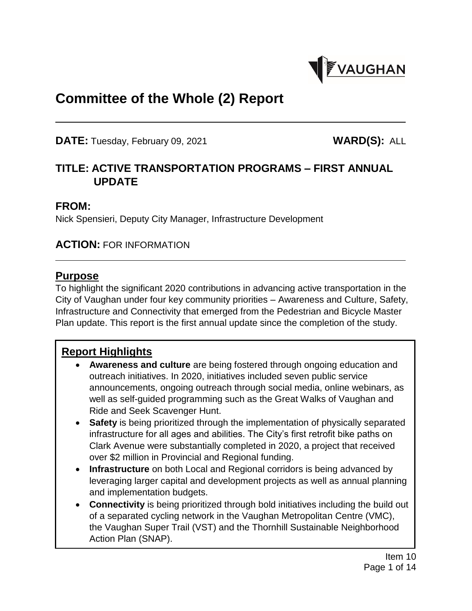

# **Committee of the Whole (2) Report**

**DATE:** Tuesday, February 09, 2021 **WARD(S):** ALL

# **TITLE: ACTIVE TRANSPORTATION PROGRAMS – FIRST ANNUAL UPDATE**

#### **FROM:**

Nick Spensieri, Deputy City Manager, Infrastructure Development

#### **ACTION:** FOR INFORMATION

#### **Purpose**

To highlight the significant 2020 contributions in advancing active transportation in the City of Vaughan under four key community priorities – Awareness and Culture, Safety, Infrastructure and Connectivity that emerged from the Pedestrian and Bicycle Master Plan update. This report is the first annual update since the completion of the study.

## **Report Highlights**

- **Awareness and culture** are being fostered through ongoing education and outreach initiatives. In 2020, initiatives included seven public service announcements, ongoing outreach through social media, online webinars, as well as self-guided programming such as the Great Walks of Vaughan and Ride and Seek Scavenger Hunt.
- **Safety** is being prioritized through the implementation of physically separated infrastructure for all ages and abilities. The City's first retrofit bike paths on Clark Avenue were substantially completed in 2020, a project that received over \$2 million in Provincial and Regional funding.
- **Infrastructure** on both Local and Regional corridors is being advanced by leveraging larger capital and development projects as well as annual planning and implementation budgets.
- **Connectivity** is being prioritized through bold initiatives including the build out of a separated cycling network in the Vaughan Metropolitan Centre (VMC), the Vaughan Super Trail (VST) and the Thornhill Sustainable Neighborhood Action Plan (SNAP).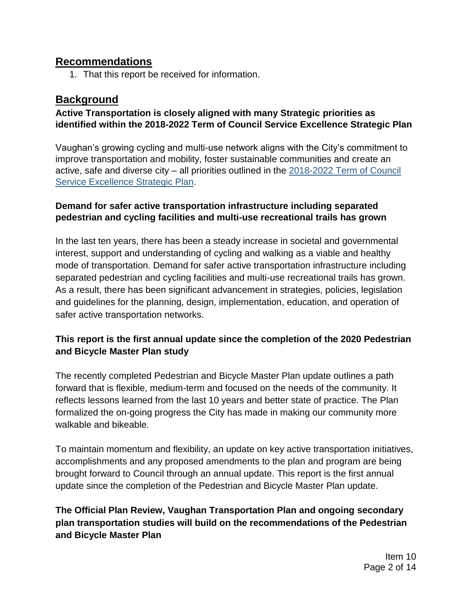#### **Recommendations**

1. That this report be received for information.

# **Background**

#### **Active Transportation is closely aligned with many Strategic priorities as identified within the 2018-2022 Term of Council Service Excellence Strategic Plan**

Vaughan's growing cycling and multi-use network aligns with the City's commitment to improve transportation and mobility, foster sustainable communities and create an active, safe and diverse city – all priorities outlined in the [2018-2022 Term of Council](https://www.vaughan.ca/serviceexcellence/Pages/Term-of-Council-Service-Excellence-Strategy-Map.aspx)  [Service Excellence Strategic Plan.](https://www.vaughan.ca/serviceexcellence/Pages/Term-of-Council-Service-Excellence-Strategy-Map.aspx)

#### **Demand for safer active transportation infrastructure including separated pedestrian and cycling facilities and multi-use recreational trails has grown**

In the last ten years, there has been a steady increase in societal and governmental interest, support and understanding of cycling and walking as a viable and healthy mode of transportation. Demand for safer active transportation infrastructure including separated pedestrian and cycling facilities and multi-use recreational trails has grown. As a result, there has been significant advancement in strategies, policies, legislation and guidelines for the planning, design, implementation, education, and operation of safer active transportation networks.

## **This report is the first annual update since the completion of the 2020 Pedestrian and Bicycle Master Plan study**

The recently completed Pedestrian and Bicycle Master Plan update outlines a path forward that is flexible, medium-term and focused on the needs of the community. It reflects lessons learned from the last 10 years and better state of practice. The Plan formalized the on-going progress the City has made in making our community more walkable and bikeable.

To maintain momentum and flexibility, an update on key active transportation initiatives, accomplishments and any proposed amendments to the plan and program are being brought forward to Council through an annual update. This report is the first annual update since the completion of the Pedestrian and Bicycle Master Plan update.

#### **The Official Plan Review, Vaughan Transportation Plan and ongoing secondary plan transportation studies will build on the recommendations of the Pedestrian and Bicycle Master Plan**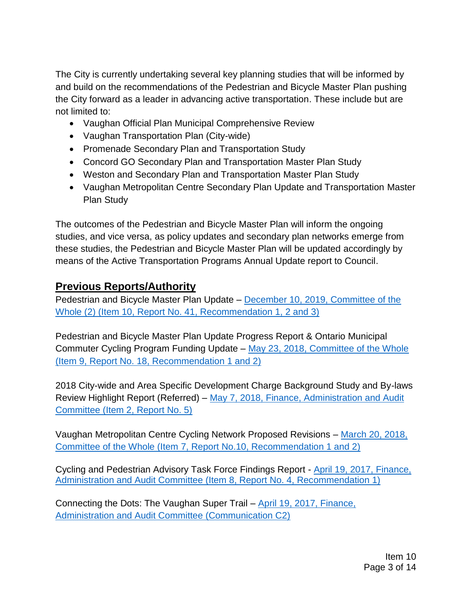The City is currently undertaking several key planning studies that will be informed by and build on the recommendations of the Pedestrian and Bicycle Master Plan pushing the City forward as a leader in advancing active transportation. These include but are not limited to:

- Vaughan Official Plan Municipal Comprehensive Review
- Vaughan Transportation Plan (City-wide)
- Promenade Secondary Plan and Transportation Study
- Concord GO Secondary Plan and Transportation Master Plan Study
- Weston and Secondary Plan and Transportation Master Plan Study
- Vaughan Metropolitan Centre Secondary Plan Update and Transportation Master Plan Study

The outcomes of the Pedestrian and Bicycle Master Plan will inform the ongoing studies, and vice versa, as policy updates and secondary plan networks emerge from these studies, the Pedestrian and Bicycle Master Plan will be updated accordingly by means of the Active Transportation Programs Annual Update report to Council.

# **Previous Reports/Authority**

Pedestrian and Bicycle Master Plan Update – [December 10, 2019, Committee of the](https://pub-vaughan.escribemeetings.com/filestream.ashx?DocumentId=43829)  [Whole \(2\) \(Item 10, Report No. 41, Recommendation 1, 2 and 3\)](https://pub-vaughan.escribemeetings.com/filestream.ashx?DocumentId=43829)

Pedestrian and Bicycle Master Plan Update Progress Report & Ontario Municipal Commuter Cycling Program Funding Update – [May 23, 2018, Committee of the Whole](http://www.vaughan.ca/council/minutes_agendas/AgendaItems/CW_0508_18_9.pdf)  [\(Item 9, Report No. 18, Recommendation 1 and 2\)](http://www.vaughan.ca/council/minutes_agendas/AgendaItems/CW_0508_18_9.pdf)

2018 City-wide and Area Specific Development Charge Background Study and By-laws Review Highlight Report (Referred) – [May 7, 2018, Finance, Administration and Audit](https://www.vaughan.ca/council/minutes_agendas/AgendaItems/Finance_0507_18_2.pdf)  [Committee \(Item 2, Report No. 5\)](https://www.vaughan.ca/council/minutes_agendas/AgendaItems/Finance_0507_18_2.pdf)

Vaughan Metropolitan Centre Cycling Network Proposed Revisions – [March 20, 2018,](https://www.vaughan.ca/council/minutes_agendas/AgendaItems/CW_0306_18_7.pdf)  [Committee of the Whole \(Item 7, Report No.10, Recommendation 1 and 2\)](https://www.vaughan.ca/council/minutes_agendas/AgendaItems/CW_0306_18_7.pdf) 

Cycling and Pedestrian Advisory Task Force Findings Report - [April 19, 2017, Finance,](http://www.vaughan.ca/council/minutes_agendas/AgendaItems/Finance0403_17_8.pdf)  [Administration and Audit Committee \(Item 8, Report No. 4, Recommendation 1\)](http://www.vaughan.ca/council/minutes_agendas/AgendaItems/Finance0403_17_8.pdf)

Connecting the Dots: The Vaughan Super Trail – [April 19, 2017, Finance,](http://www.vaughan.ca/council/minutes_agendas/Communications/FAA%200403_17_C2.pdf)  [Administration and Audit Committee \(Communication C2\)](http://www.vaughan.ca/council/minutes_agendas/Communications/FAA%200403_17_C2.pdf)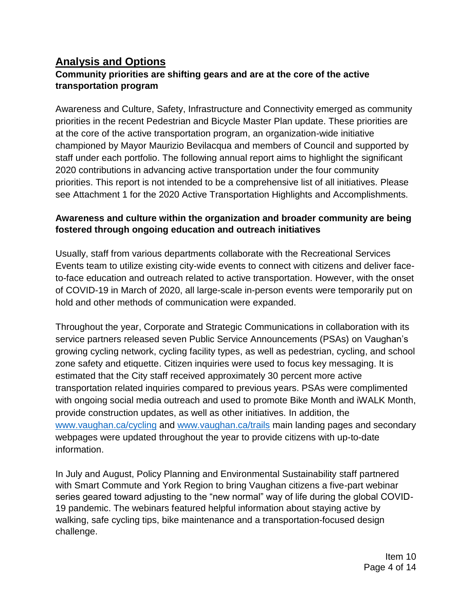# **Analysis and Options**

#### **Community priorities are shifting gears and are at the core of the active transportation program**

Awareness and Culture, Safety, Infrastructure and Connectivity emerged as community priorities in the recent Pedestrian and Bicycle Master Plan update. These priorities are at the core of the active transportation program, an organization-wide initiative championed by Mayor Maurizio Bevilacqua and members of Council and supported by staff under each portfolio. The following annual report aims to highlight the significant 2020 contributions in advancing active transportation under the four community priorities. This report is not intended to be a comprehensive list of all initiatives. Please see Attachment 1 for the 2020 Active Transportation Highlights and Accomplishments.

#### **Awareness and culture within the organization and broader community are being fostered through ongoing education and outreach initiatives**

Usually, staff from various departments collaborate with the Recreational Services Events team to utilize existing city-wide events to connect with citizens and deliver faceto-face education and outreach related to active transportation. However, with the onset of COVID-19 in March of 2020, all large-scale in-person events were temporarily put on hold and other methods of communication were expanded.

Throughout the year, Corporate and Strategic Communications in collaboration with its service partners released seven Public Service Announcements (PSAs) on Vaughan's growing cycling network, cycling facility types, as well as pedestrian, cycling, and school zone safety and etiquette. Citizen inquiries were used to focus key messaging. It is estimated that the City staff received approximately 30 percent more active transportation related inquiries compared to previous years. PSAs were complimented with ongoing social media outreach and used to promote Bike Month and iWALK Month, provide construction updates, as well as other initiatives. In addition, the [www.vaughan.ca/cycling](http://www.vaughan.ca/cycling) and [www.vaughan.ca/trails](http://www.vaughan.ca/trails) main landing pages and secondary webpages were updated throughout the year to provide citizens with up-to-date information.

In July and August, Policy Planning and Environmental Sustainability staff partnered with Smart Commute and York Region to bring Vaughan citizens a five-part webinar series geared toward adjusting to the "new normal" way of life during the global COVID-19 pandemic. The webinars featured helpful information about staying active by walking, safe cycling tips, bike maintenance and a transportation-focused design challenge.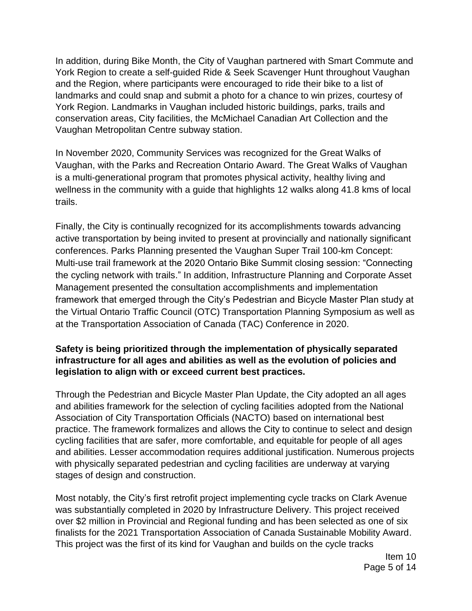In addition, during Bike Month, the City of Vaughan partnered with Smart Commute and York Region to create a self-guided Ride & Seek Scavenger Hunt throughout Vaughan and the Region, where participants were encouraged to ride their bike to a list of landmarks and could snap and submit a photo for a chance to win prizes, courtesy of York Region. Landmarks in Vaughan included historic buildings, parks, trails and conservation areas, City facilities, the McMichael Canadian Art Collection and the Vaughan Metropolitan Centre subway station.

In November 2020, Community Services was recognized for the Great Walks of Vaughan, with the Parks and Recreation Ontario Award. The Great Walks of Vaughan is a multi-generational program that promotes physical activity, healthy living and wellness in the community with a guide that highlights 12 walks along 41.8 kms of local trails.

Finally, the City is continually recognized for its accomplishments towards advancing active transportation by being invited to present at provincially and nationally significant conferences. Parks Planning presented the Vaughan Super Trail 100-km Concept: Multi-use trail framework at the 2020 Ontario Bike Summit closing session: "Connecting the cycling network with trails." In addition, Infrastructure Planning and Corporate Asset Management presented the consultation accomplishments and implementation framework that emerged through the City's Pedestrian and Bicycle Master Plan study at the Virtual Ontario Traffic Council (OTC) Transportation Planning Symposium as well as at the Transportation Association of Canada (TAC) Conference in 2020.

#### **Safety is being prioritized through the implementation of physically separated infrastructure for all ages and abilities as well as the evolution of policies and legislation to align with or exceed current best practices.**

Through the Pedestrian and Bicycle Master Plan Update, the City adopted an all ages and abilities framework for the selection of cycling facilities adopted from the National Association of City Transportation Officials (NACTO) based on international best practice. The framework formalizes and allows the City to continue to select and design cycling facilities that are safer, more comfortable, and equitable for people of all ages and abilities. Lesser accommodation requires additional justification. Numerous projects with physically separated pedestrian and cycling facilities are underway at varying stages of design and construction.

Most notably, the City's first retrofit project implementing cycle tracks on Clark Avenue was substantially completed in 2020 by Infrastructure Delivery. This project received over \$2 million in Provincial and Regional funding and has been selected as one of six finalists for the 2021 Transportation Association of Canada Sustainable Mobility Award. This project was the first of its kind for Vaughan and builds on the cycle tracks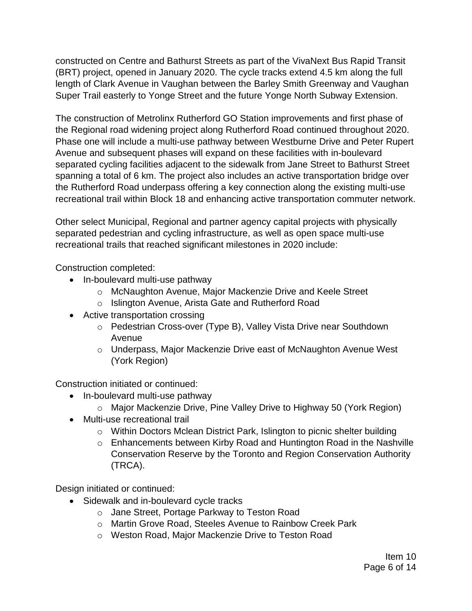constructed on Centre and Bathurst Streets as part of the VivaNext Bus Rapid Transit (BRT) project, opened in January 2020. The cycle tracks extend 4.5 km along the full length of Clark Avenue in Vaughan between the Barley Smith Greenway and Vaughan Super Trail easterly to Yonge Street and the future Yonge North Subway Extension.

The construction of Metrolinx Rutherford GO Station improvements and first phase of the Regional road widening project along Rutherford Road continued throughout 2020. Phase one will include a multi-use pathway between Westburne Drive and Peter Rupert Avenue and subsequent phases will expand on these facilities with in-boulevard separated cycling facilities adjacent to the sidewalk from Jane Street to Bathurst Street spanning a total of 6 km. The project also includes an active transportation bridge over the Rutherford Road underpass offering a key connection along the existing multi-use recreational trail within Block 18 and enhancing active transportation commuter network.

Other select Municipal, Regional and partner agency capital projects with physically separated pedestrian and cycling infrastructure, as well as open space multi-use recreational trails that reached significant milestones in 2020 include:

Construction completed:

- In-boulevard multi-use pathway
	- o McNaughton Avenue, Major Mackenzie Drive and Keele Street
	- o Islington Avenue, Arista Gate and Rutherford Road
- Active transportation crossing
	- o Pedestrian Cross-over (Type B), Valley Vista Drive near Southdown Avenue
	- o Underpass, Major Mackenzie Drive east of McNaughton Avenue West (York Region)

Construction initiated or continued:

- In-boulevard multi-use pathway
	- o Major Mackenzie Drive, Pine Valley Drive to Highway 50 (York Region)
- Multi-use recreational trail
	- o Within Doctors Mclean District Park, Islington to picnic shelter building
	- o Enhancements between Kirby Road and Huntington Road in the Nashville Conservation Reserve by the Toronto and Region Conservation Authority (TRCA).

Design initiated or continued:

- Sidewalk and in-boulevard cycle tracks
	- o Jane Street, Portage Parkway to Teston Road
	- o Martin Grove Road, Steeles Avenue to Rainbow Creek Park
	- o Weston Road, Major Mackenzie Drive to Teston Road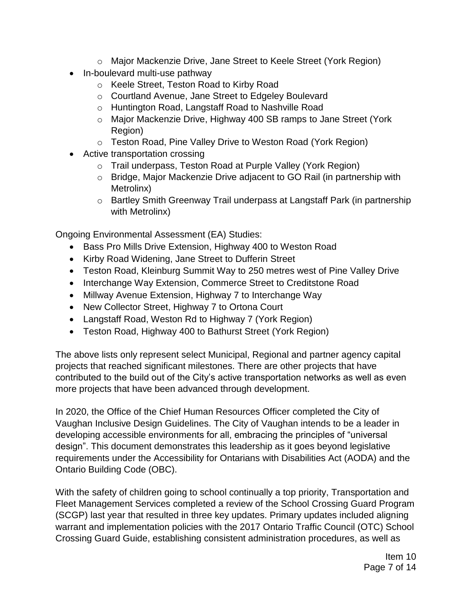- o Major Mackenzie Drive, Jane Street to Keele Street (York Region)
- In-boulevard multi-use pathway
	- o Keele Street, Teston Road to Kirby Road
	- o Courtland Avenue, Jane Street to Edgeley Boulevard
	- o Huntington Road, Langstaff Road to Nashville Road
	- o Major Mackenzie Drive, Highway 400 SB ramps to Jane Street (York Region)
	- o Teston Road, Pine Valley Drive to Weston Road (York Region)
- Active transportation crossing
	- o Trail underpass, Teston Road at Purple Valley (York Region)
	- o Bridge, Major Mackenzie Drive adjacent to GO Rail (in partnership with Metrolinx)
	- o Bartley Smith Greenway Trail underpass at Langstaff Park (in partnership with Metrolinx)

Ongoing Environmental Assessment (EA) Studies:

- Bass Pro Mills Drive Extension, Highway 400 to Weston Road
- Kirby Road Widening, Jane Street to Dufferin Street
- Teston Road, Kleinburg Summit Way to 250 metres west of Pine Valley Drive
- Interchange Way Extension, Commerce Street to Creditstone Road
- Millway Avenue Extension, Highway 7 to Interchange Way
- New Collector Street, Highway 7 to Ortona Court
- Langstaff Road, Weston Rd to Highway 7 (York Region)
- Teston Road, Highway 400 to Bathurst Street (York Region)

The above lists only represent select Municipal, Regional and partner agency capital projects that reached significant milestones. There are other projects that have contributed to the build out of the City's active transportation networks as well as even more projects that have been advanced through development.

In 2020, the Office of the Chief Human Resources Officer completed the City of Vaughan Inclusive Design Guidelines. The City of Vaughan intends to be a leader in developing accessible environments for all, embracing the principles of "universal design". This document demonstrates this leadership as it goes beyond legislative requirements under the Accessibility for Ontarians with Disabilities Act (AODA) and the Ontario Building Code (OBC).

With the safety of children going to school continually a top priority, Transportation and Fleet Management Services completed a review of the School Crossing Guard Program (SCGP) last year that resulted in three key updates. Primary updates included aligning warrant and implementation policies with the 2017 Ontario Traffic Council (OTC) School Crossing Guard Guide, establishing consistent administration procedures, as well as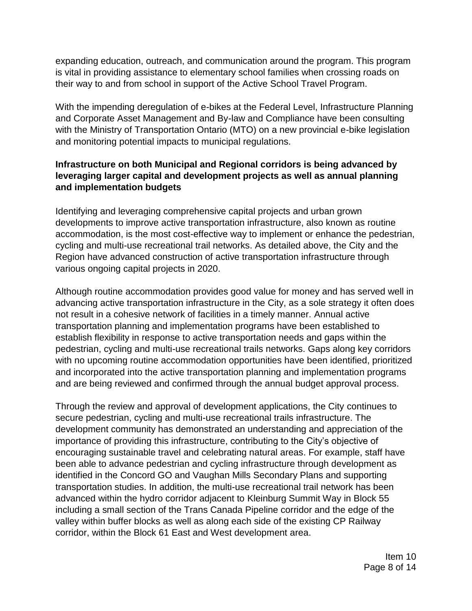expanding education, outreach, and communication around the program. This program is vital in providing assistance to elementary school families when crossing roads on their way to and from school in support of the Active School Travel Program.

With the impending deregulation of e-bikes at the Federal Level, Infrastructure Planning and Corporate Asset Management and By-law and Compliance have been consulting with the Ministry of Transportation Ontario (MTO) on a new provincial e-bike legislation and monitoring potential impacts to municipal regulations.

#### **Infrastructure on both Municipal and Regional corridors is being advanced by leveraging larger capital and development projects as well as annual planning and implementation budgets**

Identifying and leveraging comprehensive capital projects and urban grown developments to improve active transportation infrastructure, also known as routine accommodation, is the most cost-effective way to implement or enhance the pedestrian, cycling and multi-use recreational trail networks. As detailed above, the City and the Region have advanced construction of active transportation infrastructure through various ongoing capital projects in 2020.

Although routine accommodation provides good value for money and has served well in advancing active transportation infrastructure in the City, as a sole strategy it often does not result in a cohesive network of facilities in a timely manner. Annual active transportation planning and implementation programs have been established to establish flexibility in response to active transportation needs and gaps within the pedestrian, cycling and multi-use recreational trails networks. Gaps along key corridors with no upcoming routine accommodation opportunities have been identified, prioritized and incorporated into the active transportation planning and implementation programs and are being reviewed and confirmed through the annual budget approval process.

Through the review and approval of development applications, the City continues to secure pedestrian, cycling and multi-use recreational trails infrastructure. The development community has demonstrated an understanding and appreciation of the importance of providing this infrastructure, contributing to the City's objective of encouraging sustainable travel and celebrating natural areas. For example, staff have been able to advance pedestrian and cycling infrastructure through development as identified in the Concord GO and Vaughan Mills Secondary Plans and supporting transportation studies. In addition, the multi-use recreational trail network has been advanced within the hydro corridor adjacent to Kleinburg Summit Way in Block 55 including a small section of the Trans Canada Pipeline corridor and the edge of the valley within buffer blocks as well as along each side of the existing CP Railway corridor, within the Block 61 East and West development area.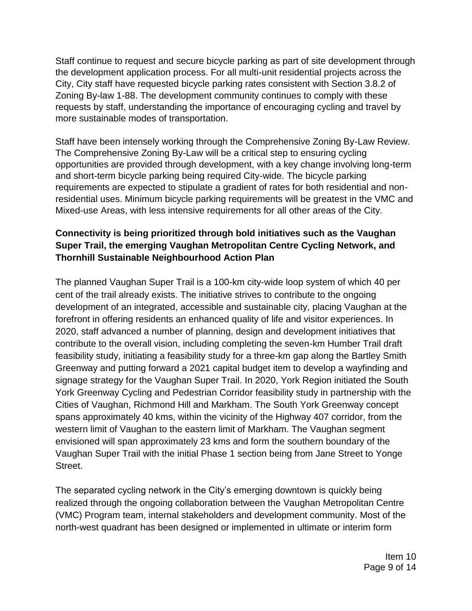Staff continue to request and secure bicycle parking as part of site development through the development application process. For all multi-unit residential projects across the City, City staff have requested bicycle parking rates consistent with Section 3.8.2 of Zoning By-law 1-88. The development community continues to comply with these requests by staff, understanding the importance of encouraging cycling and travel by more sustainable modes of transportation.

Staff have been intensely working through the Comprehensive Zoning By-Law Review. The Comprehensive Zoning By-Law will be a critical step to ensuring cycling opportunities are provided through development, with a key change involving long-term and short-term bicycle parking being required City-wide. The bicycle parking requirements are expected to stipulate a gradient of rates for both residential and nonresidential uses. Minimum bicycle parking requirements will be greatest in the VMC and Mixed-use Areas, with less intensive requirements for all other areas of the City.

#### **Connectivity is being prioritized through bold initiatives such as the Vaughan Super Trail, the emerging Vaughan Metropolitan Centre Cycling Network, and Thornhill Sustainable Neighbourhood Action Plan**

The planned Vaughan Super Trail is a 100-km city-wide loop system of which 40 per cent of the trail already exists. The initiative strives to contribute to the ongoing development of an integrated, accessible and sustainable city, placing Vaughan at the forefront in offering residents an enhanced quality of life and visitor experiences. In 2020, staff advanced a number of planning, design and development initiatives that contribute to the overall vision, including completing the seven-km Humber Trail draft feasibility study, initiating a feasibility study for a three-km gap along the Bartley Smith Greenway and putting forward a 2021 capital budget item to develop a wayfinding and signage strategy for the Vaughan Super Trail. In 2020, York Region initiated the South York Greenway Cycling and Pedestrian Corridor feasibility study in partnership with the Cities of Vaughan, Richmond Hill and Markham. The South York Greenway concept spans approximately 40 kms, within the vicinity of the Highway 407 corridor, from the western limit of Vaughan to the eastern limit of Markham. The Vaughan segment envisioned will span approximately 23 kms and form the southern boundary of the Vaughan Super Trail with the initial Phase 1 section being from Jane Street to Yonge Street.

The separated cycling network in the City's emerging downtown is quickly being realized through the ongoing collaboration between the Vaughan Metropolitan Centre (VMC) Program team, internal stakeholders and development community. Most of the north-west quadrant has been designed or implemented in ultimate or interim form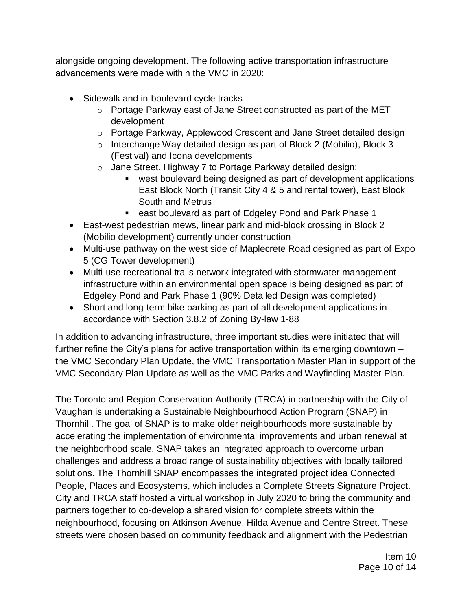alongside ongoing development. The following active transportation infrastructure advancements were made within the VMC in 2020:

- Sidewalk and in-boulevard cycle tracks
	- o Portage Parkway east of Jane Street constructed as part of the MET development
	- o Portage Parkway, Applewood Crescent and Jane Street detailed design
	- o Interchange Way detailed design as part of Block 2 (Mobilio), Block 3 (Festival) and Icona developments
	- o Jane Street, Highway 7 to Portage Parkway detailed design:
		- west boulevard being designed as part of development applications East Block North (Transit City 4 & 5 and rental tower), East Block South and Metrus
		- east boulevard as part of Edgeley Pond and Park Phase 1
- East-west pedestrian mews, linear park and mid-block crossing in Block 2 (Mobilio development) currently under construction
- Multi-use pathway on the west side of Maplecrete Road designed as part of Expo 5 (CG Tower development)
- Multi-use recreational trails network integrated with stormwater management infrastructure within an environmental open space is being designed as part of Edgeley Pond and Park Phase 1 (90% Detailed Design was completed)
- Short and long-term bike parking as part of all development applications in accordance with Section 3.8.2 of Zoning By-law 1-88

In addition to advancing infrastructure, three important studies were initiated that will further refine the City's plans for active transportation within its emerging downtown – the VMC Secondary Plan Update, the VMC Transportation Master Plan in support of the VMC Secondary Plan Update as well as the VMC Parks and Wayfinding Master Plan.

The Toronto and Region Conservation Authority (TRCA) in partnership with the City of Vaughan is undertaking a Sustainable Neighbourhood Action Program (SNAP) in Thornhill. The goal of SNAP is to make older neighbourhoods more sustainable by accelerating the implementation of environmental improvements and urban renewal at the neighborhood scale. SNAP takes an integrated approach to overcome urban challenges and address a broad range of sustainability objectives with locally tailored solutions. The Thornhill SNAP encompasses the integrated project idea Connected People, Places and Ecosystems, which includes a Complete Streets Signature Project. City and TRCA staff hosted a virtual workshop in July 2020 to bring the community and partners together to co-develop a shared vision for complete streets within the neighbourhood, focusing on Atkinson Avenue, Hilda Avenue and Centre Street. These streets were chosen based on community feedback and alignment with the Pedestrian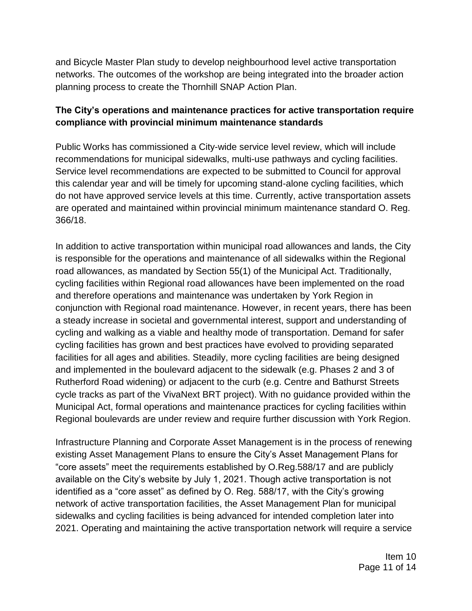and Bicycle Master Plan study to develop neighbourhood level active transportation networks. The outcomes of the workshop are being integrated into the broader action planning process to create the Thornhill SNAP Action Plan.

#### **The City's operations and maintenance practices for active transportation require compliance with provincial minimum maintenance standards**

Public Works has commissioned a City-wide service level review, which will include recommendations for municipal sidewalks, multi-use pathways and cycling facilities. Service level recommendations are expected to be submitted to Council for approval this calendar year and will be timely for upcoming stand-alone cycling facilities, which do not have approved service levels at this time. Currently, active transportation assets are operated and maintained within provincial minimum maintenance standard O. Reg. 366/18.

In addition to active transportation within municipal road allowances and lands, the City is responsible for the operations and maintenance of all sidewalks within the Regional road allowances, as mandated by Section 55(1) of the Municipal Act. Traditionally, cycling facilities within Regional road allowances have been implemented on the road and therefore operations and maintenance was undertaken by York Region in conjunction with Regional road maintenance. However, in recent years, there has been a steady increase in societal and governmental interest, support and understanding of cycling and walking as a viable and healthy mode of transportation. Demand for safer cycling facilities has grown and best practices have evolved to providing separated facilities for all ages and abilities. Steadily, more cycling facilities are being designed and implemented in the boulevard adjacent to the sidewalk (e.g. Phases 2 and 3 of Rutherford Road widening) or adjacent to the curb (e.g. Centre and Bathurst Streets cycle tracks as part of the VivaNext BRT project). With no guidance provided within the Municipal Act, formal operations and maintenance practices for cycling facilities within Regional boulevards are under review and require further discussion with York Region.

Infrastructure Planning and Corporate Asset Management is in the process of renewing existing Asset Management Plans to ensure the City's Asset Management Plans for "core assets" meet the requirements established by O.Reg.588/17 and are publicly available on the City's website by July 1, 2021. Though active transportation is not identified as a "core asset" as defined by O. Reg. 588/17, with the City's growing network of active transportation facilities, the Asset Management Plan for municipal sidewalks and cycling facilities is being advanced for intended completion later into 2021. Operating and maintaining the active transportation network will require a service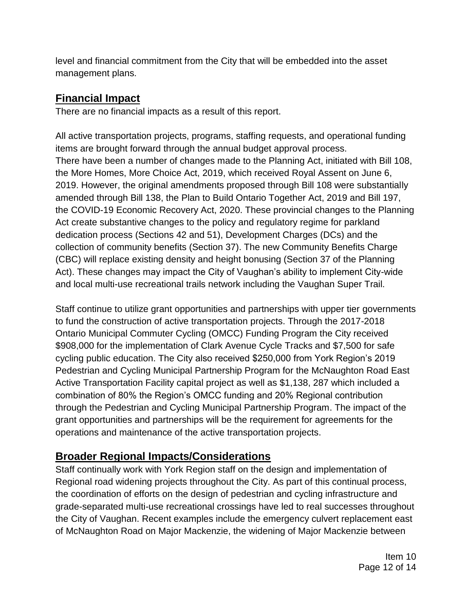level and financial commitment from the City that will be embedded into the asset management plans.

# **Financial Impact**

There are no financial impacts as a result of this report.

All active transportation projects, programs, staffing requests, and operational funding items are brought forward through the annual budget approval process. There have been a number of changes made to the Planning Act, initiated with Bill 108, the More Homes, More Choice Act, 2019, which received Royal Assent on June 6, 2019. However, the original amendments proposed through Bill 108 were substantially amended through Bill 138, the Plan to Build Ontario Together Act, 2019 and Bill 197, the COVID-19 Economic Recovery Act, 2020. These provincial changes to the Planning Act create substantive changes to the policy and regulatory regime for parkland dedication process (Sections 42 and 51), Development Charges (DCs) and the collection of community benefits (Section 37). The new Community Benefits Charge (CBC) will replace existing density and height bonusing (Section 37 of the Planning Act). These changes may impact the City of Vaughan's ability to implement City-wide and local multi-use recreational trails network including the Vaughan Super Trail.

Staff continue to utilize grant opportunities and partnerships with upper tier governments to fund the construction of active transportation projects. Through the 2017-2018 Ontario Municipal Commuter Cycling (OMCC) Funding Program the City received \$908,000 for the implementation of Clark Avenue Cycle Tracks and \$7,500 for safe cycling public education. The City also received \$250,000 from York Region's 2019 Pedestrian and Cycling Municipal Partnership Program for the McNaughton Road East Active Transportation Facility capital project as well as \$1,138, 287 which included a combination of 80% the Region's OMCC funding and 20% Regional contribution through the Pedestrian and Cycling Municipal Partnership Program. The impact of the grant opportunities and partnerships will be the requirement for agreements for the operations and maintenance of the active transportation projects.

# **Broader Regional Impacts/Considerations**

Staff continually work with York Region staff on the design and implementation of Regional road widening projects throughout the City. As part of this continual process, the coordination of efforts on the design of pedestrian and cycling infrastructure and grade-separated multi-use recreational crossings have led to real successes throughout the City of Vaughan. Recent examples include the emergency culvert replacement east of McNaughton Road on Major Mackenzie, the widening of Major Mackenzie between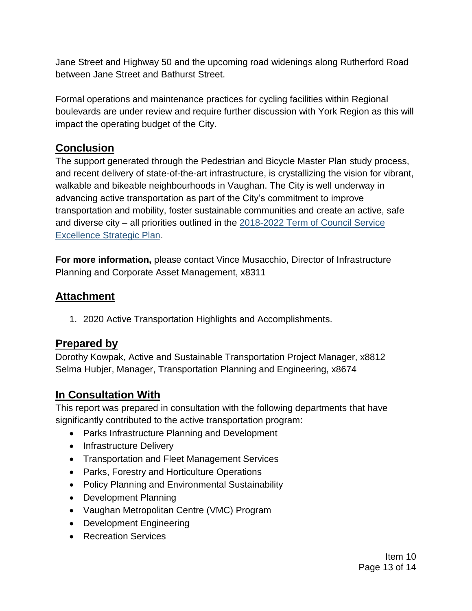Jane Street and Highway 50 and the upcoming road widenings along Rutherford Road between Jane Street and Bathurst Street.

Formal operations and maintenance practices for cycling facilities within Regional boulevards are under review and require further discussion with York Region as this will impact the operating budget of the City.

# **Conclusion**

The support generated through the Pedestrian and Bicycle Master Plan study process, and recent delivery of state-of-the-art infrastructure, is crystallizing the vision for vibrant, walkable and bikeable neighbourhoods in Vaughan. The City is well underway in advancing active transportation as part of the City's commitment to improve transportation and mobility, foster sustainable communities and create an active, safe and diverse city – all priorities outlined in the [2018-2022 Term of Council Service](https://www.vaughan.ca/serviceexcellence/Pages/Term-of-Council-Service-Excellence-Strategy-Map.aspx)  [Excellence Strategic Plan.](https://www.vaughan.ca/serviceexcellence/Pages/Term-of-Council-Service-Excellence-Strategy-Map.aspx)

**For more information,** please contact Vince Musacchio, Director of Infrastructure Planning and Corporate Asset Management, x8311

## **Attachment**

1. 2020 Active Transportation Highlights and Accomplishments.

## **Prepared by**

Dorothy Kowpak, Active and Sustainable Transportation Project Manager, x8812 Selma Hubjer, Manager, Transportation Planning and Engineering, x8674

## **In Consultation With**

This report was prepared in consultation with the following departments that have significantly contributed to the active transportation program:

- Parks Infrastructure Planning and Development
- Infrastructure Delivery
- Transportation and Fleet Management Services
- Parks, Forestry and Horticulture Operations
- Policy Planning and Environmental Sustainability
- Development Planning
- Vaughan Metropolitan Centre (VMC) Program
- Development Engineering
- Recreation Services